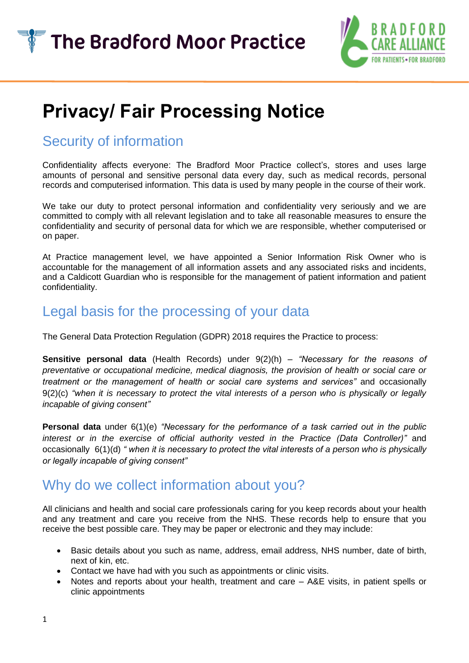

# **Privacy/ Fair Processing Notice**

## Security of information

Confidentiality affects everyone: The Bradford Moor Practice collect's, stores and uses large amounts of personal and sensitive personal data every day, such as medical records, personal records and computerised information. This data is used by many people in the course of their work.

We take our duty to protect personal information and confidentiality very seriously and we are committed to comply with all relevant legislation and to take all reasonable measures to ensure the confidentiality and security of personal data for which we are responsible, whether computerised or on paper.

At Practice management level, we have appointed a Senior Information Risk Owner who is accountable for the management of all information assets and any associated risks and incidents, and a Caldicott Guardian who is responsible for the management of patient information and patient confidentiality.

# Legal basis for the processing of your data

The General Data Protection Regulation (GDPR) 2018 requires the Practice to process:

**Sensitive personal data** (Health Records) under 9(2)(h) – *"Necessary for the reasons of preventative or occupational medicine, medical diagnosis, the provision of health or social care or treatment or the management of health or social care systems and services"* and occasionally 9(2)(c) *"when it is necessary to protect the vital interests of a person who is physically or legally incapable of giving consent"*

**Personal data** under 6(1)(e) *"Necessary for the performance of a task carried out in the public interest or in the exercise of official authority vested in the Practice (Data Controller)"* and occasionally 6(1)(d) *" when it is necessary to protect the vital interests of a person who is physically or legally incapable of giving consent"*

### Why do we collect information about you?

All clinicians and health and social care professionals caring for you keep records about your health and any treatment and care you receive from the NHS. These records help to ensure that you receive the best possible care. They may be paper or electronic and they may include:

- Basic details about you such as name, address, email address, NHS number, date of birth, next of kin, etc.
- Contact we have had with you such as appointments or clinic visits.
- Notes and reports about your health, treatment and care A&E visits, in patient spells or clinic appointments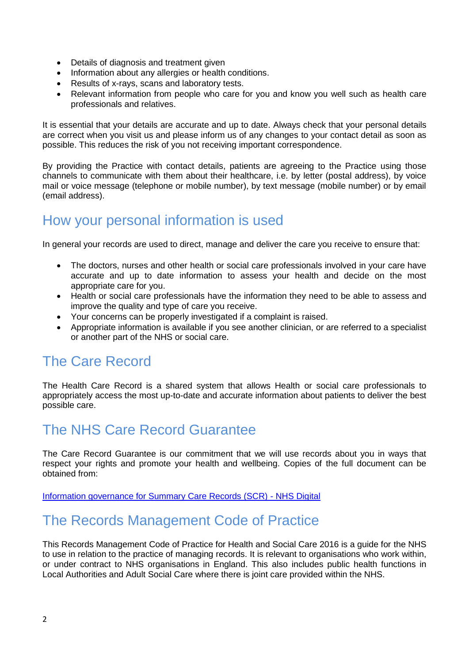- Details of diagnosis and treatment given
- Information about any allergies or health conditions.
- Results of x-rays, scans and laboratory tests.
- Relevant information from people who care for you and know you well such as health care professionals and relatives.

It is essential that your details are accurate and up to date. Always check that your personal details are correct when you visit us and please inform us of any changes to your contact detail as soon as possible. This reduces the risk of you not receiving important correspondence.

By providing the Practice with contact details, patients are agreeing to the Practice using those channels to communicate with them about their healthcare, i.e. by letter (postal address), by voice mail or voice message (telephone or mobile number), by text message (mobile number) or by email (email address).

### How your personal information is used

In general your records are used to direct, manage and deliver the care you receive to ensure that:

- The doctors, nurses and other health or social care professionals involved in your care have accurate and up to date information to assess your health and decide on the most appropriate care for you.
- Health or social care professionals have the information they need to be able to assess and improve the quality and type of care you receive.
- Your concerns can be properly investigated if a complaint is raised.
- Appropriate information is available if you see another clinician, or are referred to a specialist or another part of the NHS or social care.

# The Care Record

The Health Care Record is a shared system that allows Health or social care professionals to appropriately access the most up-to-date and accurate information about patients to deliver the best possible care.

### The NHS Care Record Guarantee

The Care Record Guarantee is our commitment that we will use records about you in ways that respect your rights and promote your health and wellbeing. Copies of the full document can be obtained from:

[Information governance for Summary Care Records \(SCR\) -](https://digital.nhs.uk/services/summary-care-records-scr/information-governance-for-scr) NHS Digital

# The Records Management Code of Practice

This Records Management Code of Practice for Health and Social Care 2016 is a guide for the NHS to use in relation to the practice of managing records. It is relevant to organisations who work within, or under contract to NHS organisations in England. This also includes public health functions in Local Authorities and Adult Social Care where there is joint care provided within the NHS.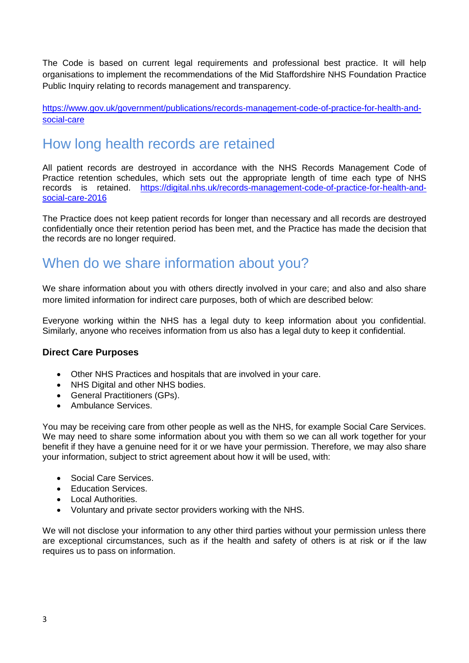The Code is based on current legal requirements and professional best practice. It will help organisations to implement the recommendations of the Mid Staffordshire NHS Foundation Practice Public Inquiry relating to records management and transparency.

[https://www.gov.uk/government/publications/records-management-code-of-practice-for-health-and](https://www.gov.uk/government/publications/records-management-code-of-practice-for-health-and-social-care)[social-care](https://www.gov.uk/government/publications/records-management-code-of-practice-for-health-and-social-care)

# How long health records are retained

All patient records are destroyed in accordance with the NHS Records Management Code of Practice retention schedules, which sets out the appropriate length of time each type of NHS records is retained. [https://digital.nhs.uk/records-management-code-of-practice-for-health-and](https://digital.nhs.uk/records-management-code-of-practice-for-health-and-social-care-2016)[social-care-2016](https://digital.nhs.uk/records-management-code-of-practice-for-health-and-social-care-2016)

The Practice does not keep patient records for longer than necessary and all records are destroyed confidentially once their retention period has been met, and the Practice has made the decision that the records are no longer required.

# When do we share information about you?

We share information about you with others directly involved in your care; and also and also share more limited information for indirect care purposes, both of which are described below:

Everyone working within the NHS has a legal duty to keep information about you confidential. Similarly, anyone who receives information from us also has a legal duty to keep it confidential.

#### **Direct Care Purposes**

- Other NHS Practices and hospitals that are involved in your care.
- NHS Digital and other NHS bodies.
- General Practitioners (GPs).
- Ambulance Services.

You may be receiving care from other people as well as the NHS, for example Social Care Services. We may need to share some information about you with them so we can all work together for your benefit if they have a genuine need for it or we have your permission. Therefore, we may also share your information, subject to strict agreement about how it will be used, with:

- Social Care Services.
- Education Services.
- Local Authorities.
- Voluntary and private sector providers working with the NHS.

We will not disclose your information to any other third parties without your permission unless there are exceptional circumstances, such as if the health and safety of others is at risk or if the law requires us to pass on information.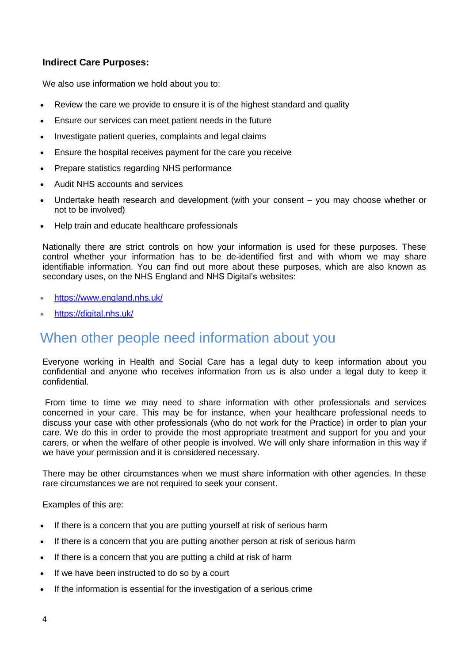#### **Indirect Care Purposes:**

We also use information we hold about you to:

- Review the care we provide to ensure it is of the highest standard and quality
- Ensure our services can meet patient needs in the future
- Investigate patient queries, complaints and legal claims
- Ensure the hospital receives payment for the care you receive
- Prepare statistics regarding NHS performance
- Audit NHS accounts and services
- Undertake heath research and development (with your consent you may choose whether or not to be involved)
- Help train and educate healthcare professionals

Nationally there are strict controls on how your information is used for these purposes. These control whether your information has to be de-identified first and with whom we may share identifiable information. You can find out more about these purposes, which are also known as secondary uses, on the NHS England and NHS Digital's websites:

- <https://www.england.nhs.uk/>
- <https://digital.nhs.uk/>

# When other people need information about you

Everyone working in Health and Social Care has a legal duty to keep information about you confidential and anyone who receives information from us is also under a legal duty to keep it confidential.

From time to time we may need to share information with other professionals and services concerned in your care. This may be for instance, when your healthcare professional needs to discuss your case with other professionals (who do not work for the Practice) in order to plan your care. We do this in order to provide the most appropriate treatment and support for you and your carers, or when the welfare of other people is involved. We will only share information in this way if we have your permission and it is considered necessary.

There may be other circumstances when we must share information with other agencies. In these rare circumstances we are not required to seek your consent.

Examples of this are:

- If there is a concern that you are putting yourself at risk of serious harm
- If there is a concern that you are putting another person at risk of serious harm
- If there is a concern that you are putting a child at risk of harm
- If we have been instructed to do so by a court
- If the information is essential for the investigation of a serious crime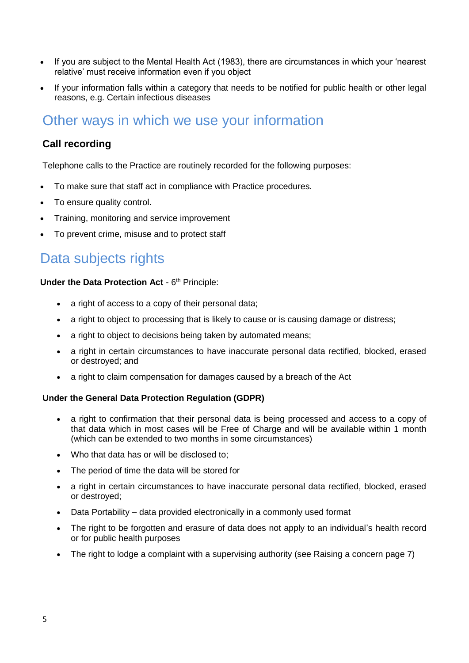- If you are subject to the Mental Health Act (1983), there are circumstances in which your 'nearest relative' must receive information even if you object
- If your information falls within a category that needs to be notified for public health or other legal reasons, e.g. Certain infectious diseases

# Other ways in which we use your information

#### **Call recording**

Telephone calls to the Practice are routinely recorded for the following purposes:

- To make sure that staff act in compliance with Practice procedures.
- To ensure quality control.
- Training, monitoring and service improvement
- To prevent crime, misuse and to protect staff

### Data subjects rights

#### Under the Data Protection Act - 6<sup>th</sup> Principle:

- a right of access to a copy of their personal data;
- a right to object to processing that is likely to cause or is causing damage or distress;
- a right to object to decisions being taken by automated means;
- a right in certain circumstances to have inaccurate personal data rectified, blocked, erased or destroyed; and
- a right to claim compensation for damages caused by a breach of the Act

#### **Under the General Data Protection Regulation (GDPR)**

- a right to confirmation that their personal data is being processed and access to a copy of that data which in most cases will be Free of Charge and will be available within 1 month (which can be extended to two months in some circumstances)
- Who that data has or will be disclosed to:
- The period of time the data will be stored for
- a right in certain circumstances to have inaccurate personal data rectified, blocked, erased or destroyed;
- Data Portability data provided electronically in a commonly used format
- The right to be forgotten and erasure of data does not apply to an individual's health record or for public health purposes
- The right to lodge a complaint with a supervising authority (see Raising a concern page 7)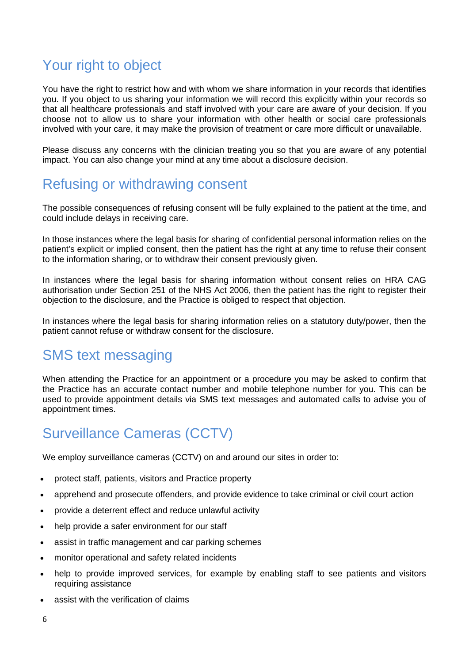# Your right to object

You have the right to restrict how and with whom we share information in your records that identifies you. If you object to us sharing your information we will record this explicitly within your records so that all healthcare professionals and staff involved with your care are aware of your decision. If you choose not to allow us to share your information with other health or social care professionals involved with your care, it may make the provision of treatment or care more difficult or unavailable.

Please discuss any concerns with the clinician treating you so that you are aware of any potential impact. You can also change your mind at any time about a disclosure decision.

# Refusing or withdrawing consent

The possible consequences of refusing consent will be fully explained to the patient at the time, and could include delays in receiving care.

In those instances where the legal basis for sharing of confidential personal information relies on the patient's explicit or implied consent, then the patient has the right at any time to refuse their consent to the information sharing, or to withdraw their consent previously given.

In instances where the legal basis for sharing information without consent relies on HRA CAG authorisation under Section 251 of the NHS Act 2006, then the patient has the right to register their objection to the disclosure, and the Practice is obliged to respect that objection.

In instances where the legal basis for sharing information relies on a statutory duty/power, then the patient cannot refuse or withdraw consent for the disclosure.

# SMS text messaging

When attending the Practice for an appointment or a procedure you may be asked to confirm that the Practice has an accurate contact number and mobile telephone number for you. This can be used to provide appointment details via SMS text messages and automated calls to advise you of appointment times.

# Surveillance Cameras (CCTV)

We employ surveillance cameras (CCTV) on and around our sites in order to:

- protect staff, patients, visitors and Practice property
- apprehend and prosecute offenders, and provide evidence to take criminal or civil court action
- provide a deterrent effect and reduce unlawful activity
- help provide a safer environment for our staff
- assist in traffic management and car parking schemes
- monitor operational and safety related incidents
- help to provide improved services, for example by enabling staff to see patients and visitors requiring assistance
- assist with the verification of claims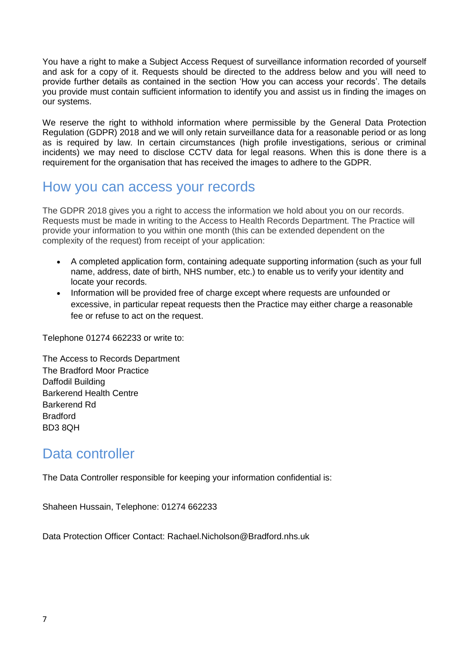You have a right to make a Subject Access Request of surveillance information recorded of yourself and ask for a copy of it. Requests should be directed to the address below and you will need to provide further details as contained in the section 'How you can access your records'. The details you provide must contain sufficient information to identify you and assist us in finding the images on our systems.

We reserve the right to withhold information where permissible by the General Data Protection Regulation (GDPR) 2018 and we will only retain surveillance data for a reasonable period or as long as is required by law. In certain circumstances (high profile investigations, serious or criminal incidents) we may need to disclose CCTV data for legal reasons. When this is done there is a requirement for the organisation that has received the images to adhere to the GDPR.

### How you can access your records

The GDPR 2018 gives you a right to access the information we hold about you on our records. Requests must be made in writing to the Access to Health Records Department. The Practice will provide your information to you within one month (this can be extended dependent on the complexity of the request) from receipt of your application:

- A completed application form, containing adequate supporting information (such as your full name, address, date of birth, NHS number, etc.) to enable us to verify your identity and locate your records.
- Information will be provided free of charge except where requests are unfounded or excessive, in particular repeat requests then the Practice may either charge a reasonable fee or refuse to act on the request.

Telephone 01274 662233 or write to:

The Access to Records Department The Bradford Moor Practice Daffodil Building Barkerend Health Centre Barkerend Rd Bradford BD3 8QH

# Data controller

The Data Controller responsible for keeping your information confidential is:

Shaheen Hussain, Telephone: 01274 662233

Data Protection Officer Contact: Rachael.Nicholson@Bradford.nhs.uk